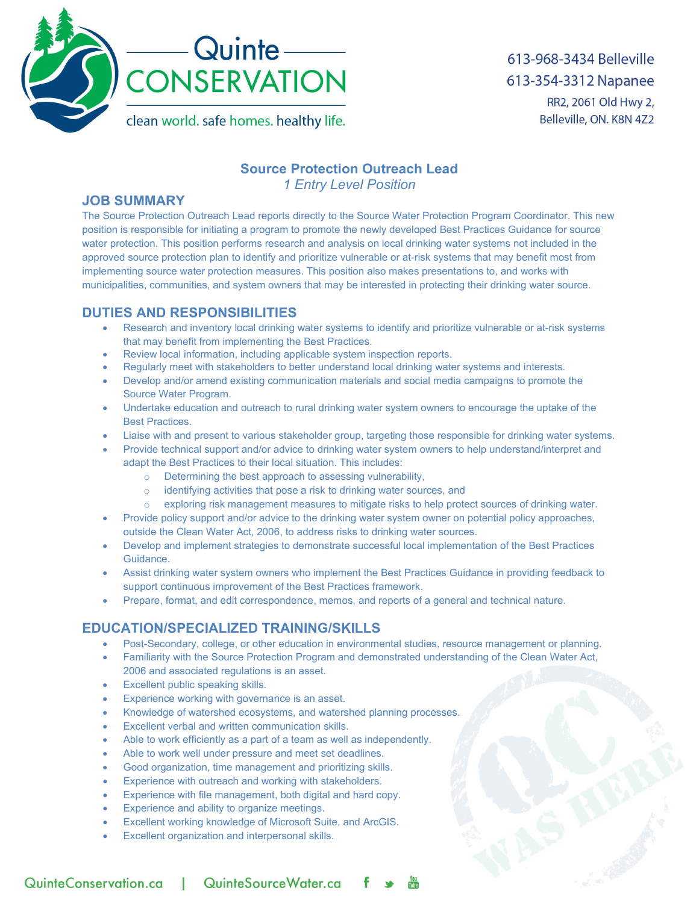

613-968-3434 Belleville 613-354-3312 Napanee RR2, 2061 Old Hwy 2, Belleville, ON. K8N 4Z2

# **Source Protection Outreach Lead**

*1 Entry Level Position*

### **JOB SUMMARY**

The Source Protection Outreach Lead reports directly to the Source Water Protection Program Coordinator. This new position is responsible for initiating a program to promote the newly developed Best Practices Guidance for source water protection. This position performs research and analysis on local drinking water systems not included in the approved source protection plan to identify and prioritize vulnerable or at-risk systems that may benefit most from implementing source water protection measures. This position also makes presentations to, and works with municipalities, communities, and system owners that may be interested in protecting their drinking water source.

## **DUTIES AND RESPONSIBILITIES**

- Research and inventory local drinking water systems to identify and prioritize vulnerable or at-risk systems that may benefit from implementing the Best Practices.
- Review local information, including applicable system inspection reports.
- Regularly meet with stakeholders to better understand local drinking water systems and interests.
- Develop and/or amend existing communication materials and social media campaigns to promote the Source Water Program.
- Undertake education and outreach to rural drinking water system owners to encourage the uptake of the Best Practices.
- Liaise with and present to various stakeholder group, targeting those responsible for drinking water systems.
- Provide technical support and/or advice to drinking water system owners to help understand/interpret and adapt the Best Practices to their local situation. This includes:
	- o Determining the best approach to assessing vulnerability,
	- $\circ$  identifying activities that pose a risk to drinking water sources, and  $\circ$  exploring risk management measures to mitigate risks to help prote
	- exploring risk management measures to mitigate risks to help protect sources of drinking water.
- Provide policy support and/or advice to the drinking water system owner on potential policy approaches, outside the Clean Water Act, 2006, to address risks to drinking water sources.
- Develop and implement strategies to demonstrate successful local implementation of the Best Practices Guidance.
- Assist drinking water system owners who implement the Best Practices Guidance in providing feedback to support continuous improvement of the Best Practices framework.
- Prepare, format, and edit correspondence, memos, and reports of a general and technical nature.

## **EDUCATION/SPECIALIZED TRAINING/SKILLS**

- Post-Secondary, college, or other education in environmental studies, resource management or planning.
- Familiarity with the Source Protection Program and demonstrated understanding of the Clean Water Act, 2006 and associated regulations is an asset.
- Excellent public speaking skills.
- Experience working with governance is an asset.
- Knowledge of watershed ecosystems, and watershed planning processes.
- Excellent verbal and written communication skills.
- Able to work efficiently as a part of a team as well as independently.
- Able to work well under pressure and meet set deadlines.
- Good organization, time management and prioritizing skills.
- Experience with outreach and working with stakeholders.
- Experience with file management, both digital and hard copy.
- Experience and ability to organize meetings.
- Excellent working knowledge of Microsoft Suite, and ArcGIS.
- Excellent organization and interpersonal skills.